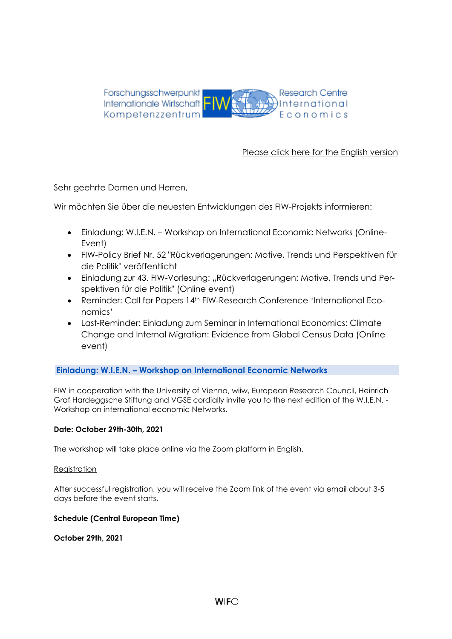

## [Please click here for the English version](#page-6-0)

Sehr geehrte Damen und Herren,

Wir möchten Sie über die neuesten Entwicklungen des FIW-Projekts informieren:

- Einladung: W.I.E.N. Workshop on International Economic Networks (Online-Event)
- FIW-Policy Brief Nr. 52 "Rückverlagerungen: Motive, Trends und Perspektiven für die Politik" veröffentlicht
- Einladung zur 43. FIW-Vorlesung: "Rückverlagerungen: Motive, Trends und Perspektiven für die Politik" (Online event)
- Reminder: Call for Papers 14<sup>th</sup> FIW-Research Conference 'International Economics'
- Last-Reminder: Einladung zum Seminar in International Economics: Climate Change and Internal Migration: Evidence from Global Census Data (Online event)

#### **Einladung: W.I.E.N. – Workshop on International Economic Networks**

FIW in cooperation with the University of Vienna, wiiw, European Research Council, Heinrich Graf Hardeggsche Stiftung and VGSE cordially invite you to the next edition of the W.I.E.N. - Workshop on international economic Networks.

#### **Date: October 29th-30th, 2021**

The workshop will take place online via the Zoom platform in English.

#### [Registration](https://fiw.ac.at/en/events/fiw-workshops/28th-fiw-workshop-on-international-economic-networks/registration)

After successful registration, you will receive the Zoom link of the event via email about 3-5 days before the event starts.

#### **Schedule (Central European Time)**

**October 29th, 2021**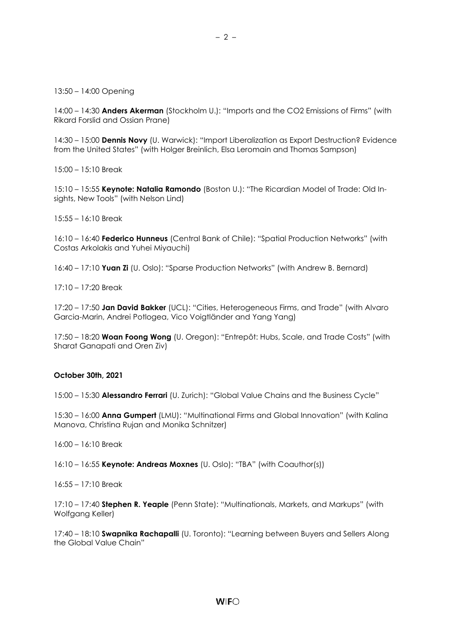13:50 – 14:00 Opening

14:00 – 14:30 **Anders Akerman** (Stockholm U.): "Imports and the CO2 Emissions of Firms" (with Rikard Forslid and Ossian Prane)

– 2 –

14:30 – 15:00 **Dennis Novy** (U. Warwick): "Import Liberalization as Export Destruction? Evidence from the United States" (with Holger Breinlich, Elsa Leromain and Thomas Sampson)

15:00 – 15:10 Break

15:10 – 15:55 **Keynote: Natalia Ramondo** (Boston U.): "The Ricardian Model of Trade: Old Insights, New Tools" (with Nelson Lind)

15:55 – 16:10 Break

16:10 – 16:40 **Federico Hunneus** (Central Bank of Chile): "Spatial Production Networks" (with Costas Arkolakis and Yuhei Miyauchi)

16:40 – 17:10 **Yuan Zi** (U. Oslo): "Sparse Production Networks" (with Andrew B. Bernard)

17:10 – 17:20 Break

17:20 – 17:50 **Jan David Bakker** (UCL): "Cities, Heterogeneous Firms, and Trade" (with Alvaro Garcia-Marin, Andrei Potlogea, Vico Voigtländer and Yang Yang)

17:50 – 18:20 **Woan Foong Wong** (U. Oregon): "Entrepôt: Hubs, Scale, and Trade Costs" (with Sharat Ganapati and Oren Ziv)

#### **October 30th, 2021**

15:00 – 15:30 **Alessandro Ferrari** (U. Zurich): "Global Value Chains and the Business Cycle"

15:30 – 16:00 **Anna Gumpert** (LMU): "Multinational Firms and Global Innovation" (with Kalina Manova, Christina Rujan and Monika Schnitzer)

16:00 – 16:10 Break

16:10 – 16:55 **Keynote: Andreas Moxnes** (U. Oslo): "TBA" (with Coauthor(s))

16:55 – 17:10 Break

17:10 – 17:40 **Stephen R. Yeaple** (Penn State): "Multinationals, Markets, and Markups" (with Wolfgang Keller)

17:40 – 18:10 **Swapnika Rachapalli** (U. Toronto): "Learning between Buyers and Sellers Along the Global Value Chain"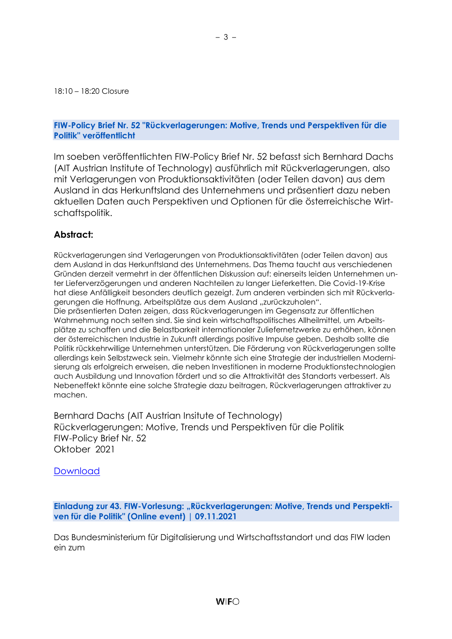18:10 – 18:20 Closure

#### **FIW-Policy Brief Nr. 52 "Rückverlagerungen: Motive, Trends und Perspektiven für die Politik" veröffentlicht**

Im soeben veröffentlichten FIW-Policy Brief Nr. 52 befasst sich Bernhard Dachs (AIT Austrian Institute of Technology) ausführlich mit Rückverlagerungen, also mit Verlagerungen von Produktionsaktivitäten (oder Teilen davon) aus dem Ausland in das Herkunftsland des Unternehmens und präsentiert dazu neben aktuellen Daten auch Perspektiven und Optionen für die österreichische Wirtschaftspolitik.

### **Abstract:**

Rückverlagerungen sind Verlagerungen von Produktionsaktivitäten (oder Teilen davon) aus dem Ausland in das Herkunftsland des Unternehmens. Das Thema taucht aus verschiedenen Gründen derzeit vermehrt in der öffentlichen Diskussion auf: einerseits leiden Unternehmen unter Lieferverzögerungen und anderen Nachteilen zu langer Lieferketten. Die Covid-19-Krise hat diese Anfälligkeit besonders deutlich gezeigt. Zum anderen verbinden sich mit Rückverlagerungen die Hoffnung, Arbeitsplätze aus dem Ausland "zurückzuholen".

Die präsentierten Daten zeigen, dass Rückverlagerungen im Gegensatz zur öffentlichen Wahrnehmung noch selten sind. Sie sind kein wirtschaftspolitisches Allheilmittel, um Arbeitsplätze zu schaffen und die Belastbarkeit internationaler Zuliefernetzwerke zu erhöhen, können der österreichischen Industrie in Zukunft allerdings positive Impulse geben. Deshalb sollte die Politik rückkehrwillige Unternehmen unterstützen. Die Förderung von Rückverlagerungen sollte allerdings kein Selbstzweck sein. Vielmehr könnte sich eine Strategie der industriellen Modernisierung als erfolgreich erweisen, die neben Investitionen in moderne Produktionstechnologien auch Ausbildung und Innovation fördert und so die Attraktivität des Standorts verbessert. Als Nebeneffekt könnte eine solche Strategie dazu beitragen, Rückverlagerungen attraktiver zu machen.

Bernhard Dachs (AIT Austrian Insitute of Technology) Rückverlagerungen: Motive, Trends und Perspektiven für die Politik FIW-Policy Brief Nr. 52 Oktober 2021

**[Download](https://fiw.ac.at/fileadmin/Documents/Publikationen/Policy_Briefs/52_FIW_Policy_Brief_Dachs_Rueckverlagerungen.pdf)** 

Einladung zur 43. FIW-Vorlesung: "Rückverlagerungen: Motive, Trends und Perspekti**ven für die Politik" (Online event) | 09.11.2021**

Das Bundesministerium für Digitalisierung und Wirtschaftsstandort und das FIW laden ein zum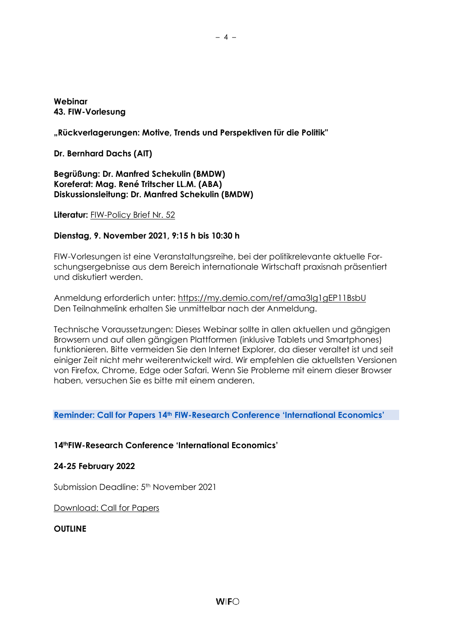### **Webinar 43. FIW-Vorlesung**

## **"Rückverlagerungen: Motive, Trends und Perspektiven für die Politik"**

**Dr. Bernhard Dachs (AIT)**

**Begrüßung: Dr. Manfred Schekulin (BMDW) Koreferat: Mag. René Tritscher LL.M. (ABA) Diskussionsleitung: Dr. Manfred Schekulin (BMDW)**

**Literatur:** [FIW-Policy Brief Nr. 52](https://fiw.ac.at/fileadmin/Documents/Publikationen/Policy_Briefs/52_FIW_Policy_Brief_Dachs_Rueckverlagerungen.pdf)

### **Dienstag, 9. November 2021, 9:15 h bis 10:30 h**

FIW-Vorlesungen ist eine Veranstaltungsreihe, bei der politikrelevante aktuelle Forschungsergebnisse aus dem Bereich internationale Wirtschaft praxisnah präsentiert und diskutiert werden.

Anmeldung erforderlich unter:<https://my.demio.com/ref/ama3Ig1gEP11BsbU> Den Teilnahmelink erhalten Sie unmittelbar nach der Anmeldung.

Technische Voraussetzungen: Dieses Webinar sollte in allen aktuellen und gängigen Browsern und auf allen gängigen Plattformen (inklusive Tablets und Smartphones) funktionieren. Bitte vermeiden Sie den Internet Explorer, da dieser veraltet ist und seit einiger Zeit nicht mehr weiterentwickelt wird. Wir empfehlen die aktuellsten Versionen von Firefox, Chrome, Edge oder Safari. Wenn Sie Probleme mit einem dieser Browser haben, versuchen Sie es bitte mit einem anderen.

#### **Reminder: Call for Papers 14th FIW-Research Conference 'International Economics'**

## **14thFIW-Research Conference 'International Economics'**

#### **24-25 February 2022**

Submission Deadline: 5<sup>th</sup> November 2021

[Download: Call for Papers](https://fiw.ac.at/fileadmin/Documents/Veranstaltungen/14FOKO2021/14.FIW_FOKO_CALL_en_fin.pdf)

#### **OUTLINE**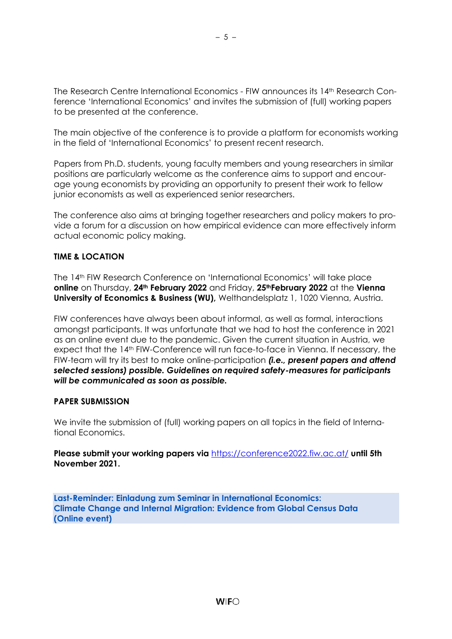The Research Centre International Economics - FIW announces its 14th Research Conference 'International Economics' and invites the submission of (full) working papers to be presented at the conference.

The main objective of the conference is to provide a platform for economists working in the field of 'International Economics' to present recent research.

Papers from Ph.D. students, young faculty members and young researchers in similar positions are particularly welcome as the conference aims to support and encourage young economists by providing an opportunity to present their work to fellow junior economists as well as experienced senior researchers.

The conference also aims at bringing together researchers and policy makers to provide a forum for a discussion on how empirical evidence can more effectively inform actual economic policy making.

## **TIME & LOCATION**

The 14th FIW Research Conference on 'International Economics' will take place **online** on Thursday, **24th February 2022** and Friday, **25thFebruary 2022** at the **Vienna University of Economics & Business (WU),** Welthandelsplatz 1, 1020 Vienna, Austria.

FIW conferences have always been about informal, as well as formal, interactions amongst participants. It was unfortunate that we had to host the conference in 2021 as an online event due to the pandemic. Given the current situation in Austria, we expect that the 14th FIW-Conference will run face-to-face in Vienna. If necessary, the FIW-team will try its best to make online-participation *(i.e., present papers and attend selected sessions) possible. Guidelines on required safety-measures for participants will be communicated as soon as possible.*

#### **PAPER SUBMISSION**

We invite the submission of (full) working papers on all topics in the field of International Economics.

**Please submit your working papers via** <https://conference2022.fiw.ac.at/> **until 5th November 2021.**

**Last-Reminder: Einladung zum Seminar in International Economics: Climate Change and Internal Migration: Evidence from Global Census Data (Online event)**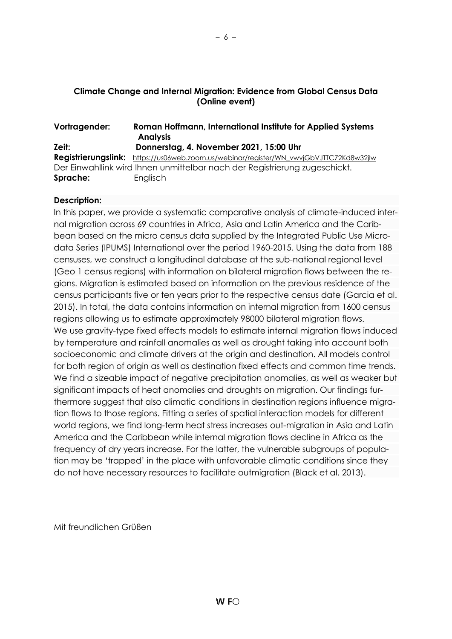# **Climate Change and Internal Migration: Evidence from Global Census Data (Online event)**

### **Vortragender: Roman Hoffmann, International Institute for Applied Systems Analysis Zeit: Donnerstag, 4. November 2021, 15:00 Uhr Registrierungslink:** [https://us06web.zoom.us/webinar/register/WN\\_vwvjGbVJTTC72Kd8w32jIw](https://us06web.zoom.us/webinar/register/WN_vwvjGbVJTTC72Kd8w32jIw)

Der Einwahllink wird Ihnen unmittelbar nach der Registrierung zugeschickt. **Sprache:** Englisch

## **Description:**

In this paper, we provide a systematic comparative analysis of climate-induced internal migration across 69 countries in Africa, Asia and Latin America and the Caribbean based on the micro census data supplied by the Integrated Public Use Microdata Series (IPUMS) International over the period 1960-2015. Using the data from 188 censuses, we construct a longitudinal database at the sub-national regional level (Geo 1 census regions) with information on bilateral migration flows between the regions. Migration is estimated based on information on the previous residence of the census participants five or ten years prior to the respective census date (Garcia et al. 2015). In total, the data contains information on internal migration from 1600 census regions allowing us to estimate approximately 98000 bilateral migration flows. We use gravity-type fixed effects models to estimate internal migration flows induced by temperature and rainfall anomalies as well as drought taking into account both socioeconomic and climate drivers at the origin and destination. All models control for both region of origin as well as destination fixed effects and common time trends. We find a sizeable impact of negative precipitation anomalies, as well as weaker but significant impacts of heat anomalies and droughts on migration. Our findings furthermore suggest that also climatic conditions in destination regions influence migration flows to those regions. Fitting a series of spatial interaction models for different world regions, we find long-term heat stress increases out-migration in Asia and Latin America and the Caribbean while internal migration flows decline in Africa as the frequency of dry years increase. For the latter, the vulnerable subgroups of population may be 'trapped' in the place with unfavorable climatic conditions since they do not have necessary resources to facilitate outmigration (Black et al. 2013).

Mit freundlichen Grüßen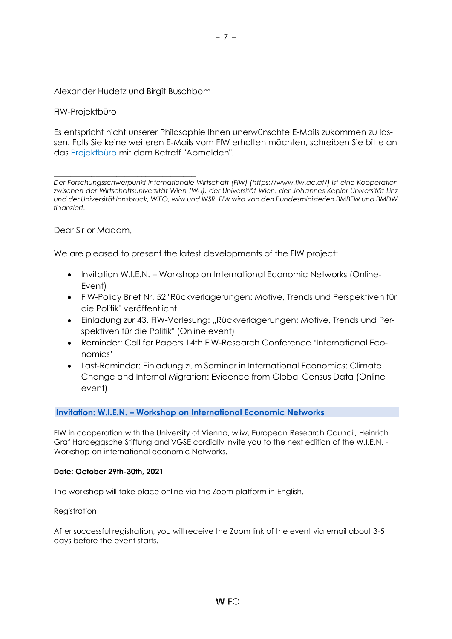### Alexander Hudetz und Birgit Buschbom

### FIW-Projektbüro

Es entspricht nicht unserer Philosophie Ihnen unerwünschte E-Mails zukommen zu lassen. Falls Sie keine weiteren E-Mails vom FIW erhalten möchten, schreiben Sie bitte an das [Projektbüro](mailto:fiw-pb@fiw.at) mit dem Betreff "Abmelden".

\_\_\_\_\_\_\_\_\_\_\_\_\_\_\_\_\_\_\_\_\_\_\_\_\_\_\_\_\_\_\_\_\_\_ *Der Forschungsschwerpunkt Internationale Wirtschaft (FIW) [\(https://www.fiw.ac.at/\)](https://www.fiw.ac.at/) ist eine Kooperation zwischen der Wirtschaftsuniversität Wien (WU), der Universität Wien, der Johannes Kepler Universität Linz und der Universität Innsbruck, WIFO, wiiw und WSR. FIW wird von den Bundesministerien BMBFW und BMDW finanziert.*

<span id="page-6-0"></span>Dear Sir or Madam,

We are pleased to present the latest developments of the FIW project:

- Invitation W.I.E.N. Workshop on International Economic Networks (Online-Event)
- FIW-Policy Brief Nr. 52 "Rückverlagerungen: Motive, Trends und Perspektiven für die Politik" veröffentlicht
- Einladung zur 43. FIW-Vorlesung: "Rückverlagerungen: Motive, Trends und Perspektiven für die Politik" (Online event)
- Reminder: Call for Papers 14th FIW-Research Conference 'International Economics'
- Last-Reminder: Einladung zum Seminar in International Economics: Climate Change and Internal Migration: Evidence from Global Census Data (Online event)

#### **Invitation: W.I.E.N. – Workshop on International Economic Networks**

FIW in cooperation with the University of Vienna, wiiw, European Research Council, Heinrich Graf Hardeggsche Stiftung and VGSE cordially invite you to the next edition of the W.I.E.N. - Workshop on international economic Networks.

#### **Date: October 29th-30th, 2021**

The workshop will take place online via the Zoom platform in English.

#### **[Registration](https://fiw.ac.at/en/events/fiw-workshops/28th-fiw-workshop-on-international-economic-networks/registration)**

After successful registration, you will receive the Zoom link of the event via email about 3-5 days before the event starts.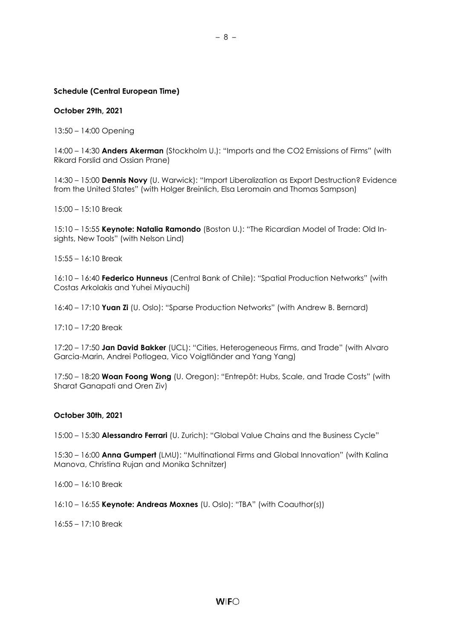#### **Schedule (Central European Time)**

#### **October 29th, 2021**

13:50 – 14:00 Opening

14:00 – 14:30 **Anders Akerman** (Stockholm U.): "Imports and the CO2 Emissions of Firms" (with Rikard Forslid and Ossian Prane)

14:30 – 15:00 **Dennis Novy** (U. Warwick): "Import Liberalization as Export Destruction? Evidence from the United States" (with Holger Breinlich, Elsa Leromain and Thomas Sampson)

15:00 – 15:10 Break

15:10 – 15:55 **Keynote: Natalia Ramondo** (Boston U.): "The Ricardian Model of Trade: Old Insights, New Tools" (with Nelson Lind)

 $15:55 - 16:10$  Break

16:10 – 16:40 **Federico Hunneus** (Central Bank of Chile): "Spatial Production Networks" (with Costas Arkolakis and Yuhei Miyauchi)

16:40 – 17:10 **Yuan Zi** (U. Oslo): "Sparse Production Networks" (with Andrew B. Bernard)

17:10 – 17:20 Break

17:20 – 17:50 **Jan David Bakker** (UCL): "Cities, Heterogeneous Firms, and Trade" (with Alvaro Garcia-Marin, Andrei Potlogea, Vico Voigtländer and Yang Yang)

17:50 – 18:20 **Woan Foong Wong** (U. Oregon): "Entrepôt: Hubs, Scale, and Trade Costs" (with Sharat Ganapati and Oren Ziv)

#### **October 30th, 2021**

15:00 – 15:30 **Alessandro Ferrari** (U. Zurich): "Global Value Chains and the Business Cycle"

15:30 – 16:00 **Anna Gumpert** (LMU): "Multinational Firms and Global Innovation" (with Kalina Manova, Christina Rujan and Monika Schnitzer)

16:00 – 16:10 Break

16:10 – 16:55 **Keynote: Andreas Moxnes** (U. Oslo): "TBA" (with Coauthor(s))

16:55 – 17:10 Break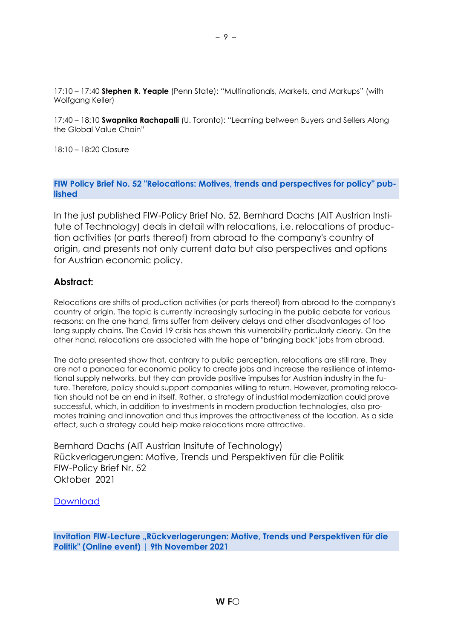17:10 – 17:40 **Stephen R. Yeaple** (Penn State): "Multinationals, Markets, and Markups" (with Wolfgang Keller)

17:40 – 18:10 **Swapnika Rachapalli** (U. Toronto): "Learning between Buyers and Sellers Along the Global Value Chain"

18:10 – 18:20 Closure

**FIW Policy Brief No. 52 "Relocations: Motives, trends and perspectives for policy" published**

In the just published FIW-Policy Brief No. 52, Bernhard Dachs (AIT Austrian Institute of Technology) deals in detail with relocations, i.e. relocations of production activities (or parts thereof) from abroad to the company's country of origin, and presents not only current data but also perspectives and options for Austrian economic policy.

## **Abstract:**

Relocations are shifts of production activities (or parts thereof) from abroad to the company's country of origin. The topic is currently increasingly surfacing in the public debate for various reasons: on the one hand, firms suffer from delivery delays and other disadvantages of too long supply chains. The Covid 19 crisis has shown this vulnerability particularly clearly. On the other hand, relocations are associated with the hope of "bringing back" jobs from abroad.

The data presented show that, contrary to public perception, relocations are still rare. They are not a panacea for economic policy to create jobs and increase the resilience of international supply networks, but they can provide positive impulses for Austrian industry in the future. Therefore, policy should support companies willing to return. However, promoting relocation should not be an end in itself. Rather, a strategy of industrial modernization could prove successful, which, in addition to investments in modern production technologies, also promotes training and innovation and thus improves the attractiveness of the location. As a side effect, such a strategy could help make relocations more attractive.

Bernhard Dachs (AIT Austrian Insitute of Technology) Rückverlagerungen: Motive, Trends und Perspektiven für die Politik FIW-Policy Brief Nr. 52 Oktober 2021

**[Download](https://fiw.ac.at/fileadmin/Documents/Publikationen/Policy_Briefs/52_FIW_Policy_Brief_Dachs_Rueckverlagerungen.pdf)** 

**Invitation FIW-Lecture "Rückverlagerungen: Motive, Trends und Perspektiven für die Politik" (Online event) | 9th November 2021**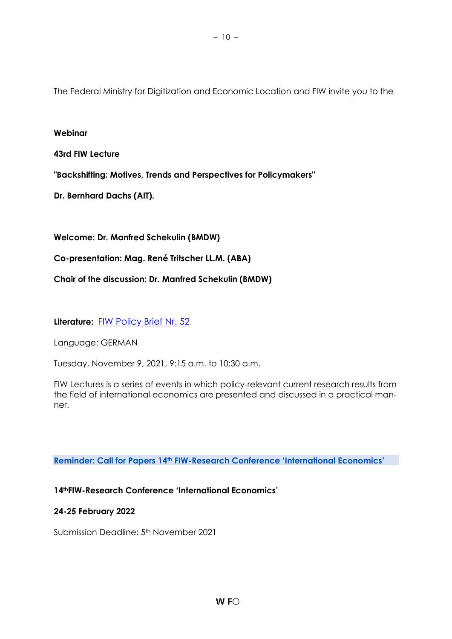The Federal Ministry for Digitization and Economic Location and FIW invite you to the

### **Webinar**

## **43rd FIW Lecture**

**"Backshifting: Motives, Trends and Perspectives for Policymakers"**

**Dr. Bernhard Dachs (AIT).**

**Welcome: Dr. Manfred Schekulin (BMDW)**

**Co-presentation: Mag. René Tritscher LL.M. (ABA)**

**Chair of the discussion: Dr. Manfred Schekulin (BMDW)**

**Literature:** [FIW Policy Brief Nr. 52](https://fiw.ac.at/fileadmin/Documents/Publikationen/Policy_Briefs/52_FIW_Policy_Brief_Dachs_Rueckverlagerungen.pdf)

Language: GERMAN

Tuesday, November 9, 2021, 9:15 a.m. to 10:30 a.m.

FIW Lectures is a series of events in which policy-relevant current research results from the field of international economics are presented and discussed in a practical manner.

**Reminder: Call for Papers 14th FIW-Research Conference 'International Economics'**

## **14thFIW-Research Conference 'International Economics'**

#### **24-25 February 2022**

Submission Deadline: 5<sup>th</sup> November 2021

– 10 –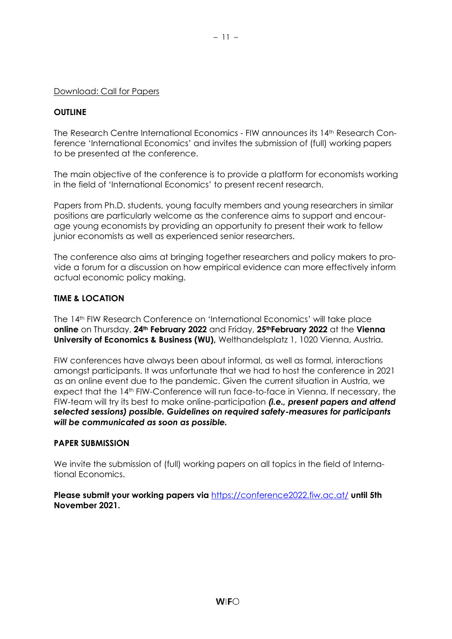#### [Download: Call for Papers](https://fiw.ac.at/fileadmin/Documents/Veranstaltungen/14FOKO2021/14.FIW_FOKO_CALL_en_fin.pdf)

#### **OUTLINE**

The Research Centre International Economics - FIW announces its 14th Research Conference 'International Economics' and invites the submission of (full) working papers to be presented at the conference.

The main objective of the conference is to provide a platform for economists working in the field of 'International Economics' to present recent research.

Papers from Ph.D. students, young faculty members and young researchers in similar positions are particularly welcome as the conference aims to support and encourage young economists by providing an opportunity to present their work to fellow junior economists as well as experienced senior researchers.

The conference also aims at bringing together researchers and policy makers to provide a forum for a discussion on how empirical evidence can more effectively inform actual economic policy making.

#### **TIME & LOCATION**

The 14th FIW Research Conference on 'International Economics' will take place **online** on Thursday, **24th February 2022** and Friday, **25thFebruary 2022** at the **Vienna University of Economics & Business (WU),** Welthandelsplatz 1, 1020 Vienna, Austria.

FIW conferences have always been about informal, as well as formal, interactions amongst participants. It was unfortunate that we had to host the conference in 2021 as an online event due to the pandemic. Given the current situation in Austria, we expect that the 14th FIW-Conference will run face-to-face in Vienna. If necessary, the FIW-team will try its best to make online-participation *(i.e., present papers and attend selected sessions) possible. Guidelines on required safety-measures for participants will be communicated as soon as possible.*

#### **PAPER SUBMISSION**

We invite the submission of (full) working papers on all topics in the field of International Economics.

**Please submit your working papers via** <https://conference2022.fiw.ac.at/> **until 5th November 2021.**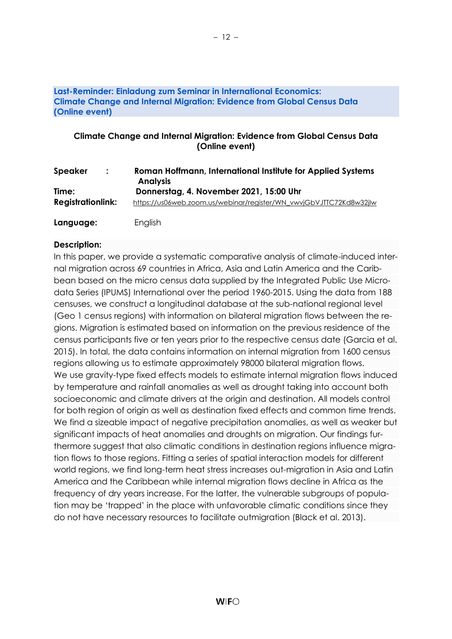### **Last-Reminder: Einladung zum Seminar in International Economics: Climate Change and Internal Migration: Evidence from Global Census Data (Online event)**

# **Climate Change and Internal Migration: Evidence from Global Census Data (Online event)**

| <b>Speaker</b>           | Roman Hoffmann, International Institute for Applied Systems        |
|--------------------------|--------------------------------------------------------------------|
| $\ddot{\cdot}$           | <b>Analysis</b>                                                    |
| Time:                    | Donnerstag, 4. November 2021, 15:00 Uhr                            |
| <b>Registrationlink:</b> | https://us06web.zoom.us/webinar/register/WN_vwvjGbVJTTC72Kd8w32jlw |
| Language:                | English                                                            |

# **Description:**

In this paper, we provide a systematic comparative analysis of climate-induced internal migration across 69 countries in Africa, Asia and Latin America and the Caribbean based on the micro census data supplied by the Integrated Public Use Microdata Series (IPUMS) International over the period 1960-2015. Using the data from 188 censuses, we construct a longitudinal database at the sub-national regional level (Geo 1 census regions) with information on bilateral migration flows between the regions. Migration is estimated based on information on the previous residence of the census participants five or ten years prior to the respective census date (Garcia et al. 2015). In total, the data contains information on internal migration from 1600 census regions allowing us to estimate approximately 98000 bilateral migration flows. We use gravity-type fixed effects models to estimate internal migration flows induced by temperature and rainfall anomalies as well as drought taking into account both socioeconomic and climate drivers at the origin and destination. All models control for both region of origin as well as destination fixed effects and common time trends. We find a sizeable impact of negative precipitation anomalies, as well as weaker but significant impacts of heat anomalies and droughts on migration. Our findings furthermore suggest that also climatic conditions in destination regions influence migration flows to those regions. Fitting a series of spatial interaction models for different world regions, we find long-term heat stress increases out-migration in Asia and Latin America and the Caribbean while internal migration flows decline in Africa as the frequency of dry years increase. For the latter, the vulnerable subgroups of population may be 'trapped' in the place with unfavorable climatic conditions since they do not have necessary resources to facilitate outmigration (Black et al. 2013).